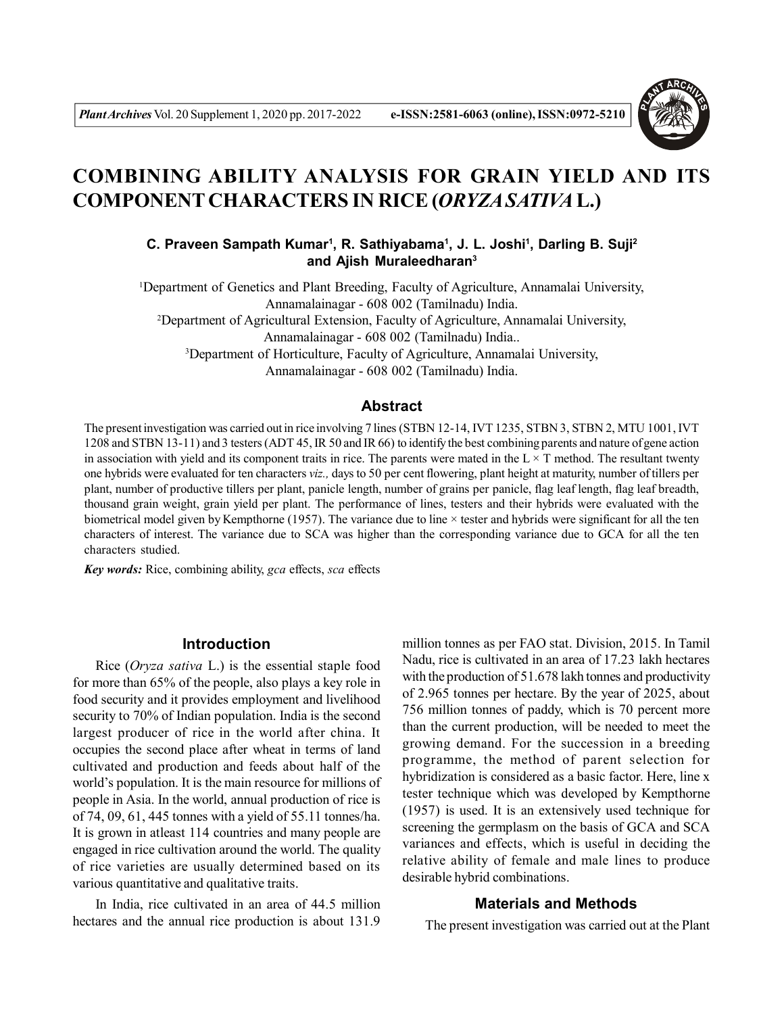

# **COMBINING ABILITY ANALYSIS FOR GRAIN YIELD AND ITS COMPONENT CHARACTERS IN RICE (***ORYZA SATIVA* **L.)**

C. Praveen Sampath Kumar<sup>1</sup>, R. Sathiyabama<sup>1</sup>, J. L. Joshi<sup>1</sup>, Darling B. Suji<sup>2</sup> **and Ajish Muraleedharan<sup>3</sup>**

<sup>1</sup>Department of Genetics and Plant Breeding, Faculty of Agriculture, Annamalai University, Annamalainagar - 608 002 (Tamilnadu) India. <sup>2</sup>Department of Agricultural Extension, Faculty of Agriculture, Annamalai University, Annamalainagar - 608 002 (Tamilnadu) India.. <sup>3</sup>Department of Horticulture, Faculty of Agriculture, Annamalai University, Annamalainagar - 608 002 (Tamilnadu) India.

# **Abstract**

The present investigation was carried out in rice involving 7 lines (STBN 12-14, IVT 1235, STBN 3, STBN 2, MTU 1001, IVT 1208 and STBN 13-11) and 3 testers (ADT 45, IR 50 and IR 66) to identify the best combining parents and nature of gene action in association with yield and its component traits in rice. The parents were mated in the  $L \times T$  method. The resultant twenty one hybrids were evaluated for ten characters *viz.,* days to 50 per cent flowering, plant height at maturity, number of tillers per plant, number of productive tillers per plant, panicle length, number of grains per panicle, flag leaf length, flag leaf breadth, thousand grain weight, grain yield per plant. The performance of lines, testers and their hybrids were evaluated with the biometrical model given by Kempthorne (1957). The variance due to line  $\times$  tester and hybrids were significant for all the ten characters of interest. The variance due to SCA was higher than the corresponding variance due to GCA for all the ten characters studied.

*Key words:* Rice, combining ability, *gca* effects, *sca* effects

# **Introduction**

Rice (*Oryza sativa* L.) is the essential staple food for more than 65% of the people, also plays a key role in food security and it provides employment and livelihood security to 70% of Indian population. India is the second largest producer of rice in the world after china. It occupies the second place after wheat in terms of land cultivated and production and feeds about half of the world's population. It is the main resource for millions of people in Asia. In the world, annual production of rice is of 74, 09, 61, 445 tonnes with a yield of 55.11 tonnes/ha. It is grown in atleast 114 countries and many people are engaged in rice cultivation around the world. The quality of rice varieties are usually determined based on its various quantitative and qualitative traits.

In India, rice cultivated in an area of 44.5 million hectares and the annual rice production is about 131.9

million tonnes as per FAO stat. Division, 2015. In Tamil Nadu, rice is cultivated in an area of 17.23 lakh hectares with the production of 51.678 lakh tonnes and productivity of 2.965 tonnes per hectare. By the year of 2025, about 756 million tonnes of paddy, which is 70 percent more than the current production, will be needed to meet the growing demand. For the succession in a breeding programme, the method of parent selection for hybridization is considered as a basic factor. Here, line x tester technique which was developed by Kempthorne (1957) is used. It is an extensively used technique for screening the germplasm on the basis of GCA and SCA variances and effects, which is useful in deciding the relative ability of female and male lines to produce desirable hybrid combinations.

# **Materials and Methods**

The present investigation was carried out at the Plant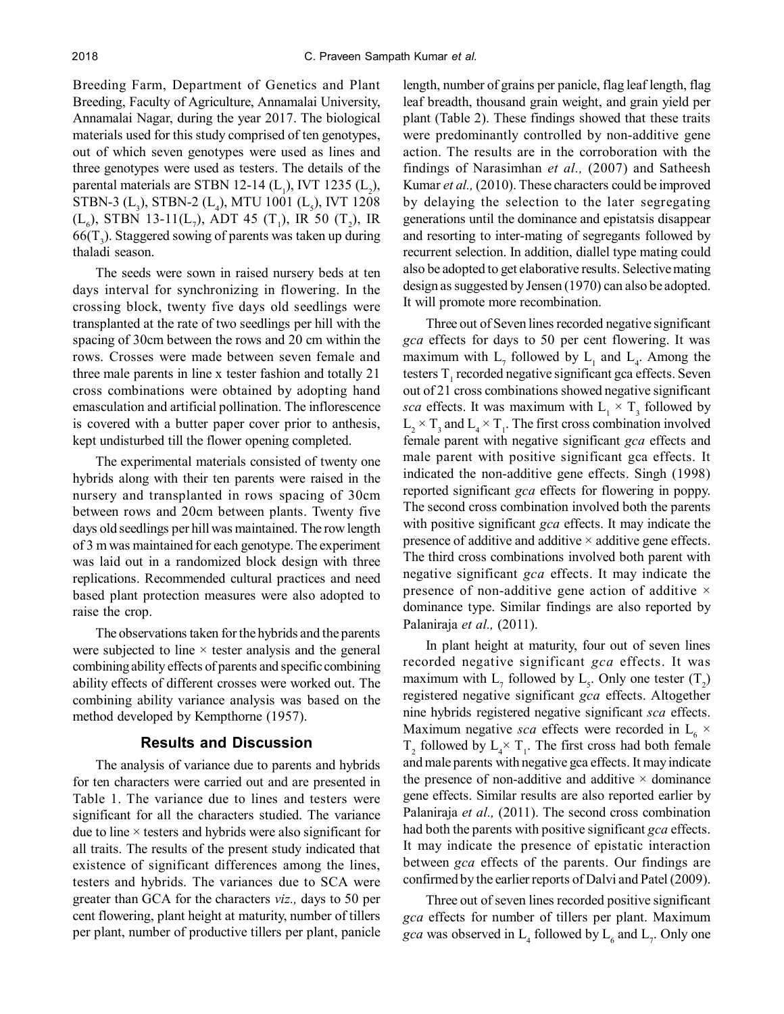Breeding Farm, Department of Genetics and Plant Breeding, Faculty of Agriculture, Annamalai University, Annamalai Nagar, during the year 2017. The biological materials used for this study comprised of ten genotypes, out of which seven genotypes were used as lines and three genotypes were used as testers. The details of the parental materials are STBN 12-14  $(L_1)$ , IVT 1235  $(L_2)$ , STBN-3 (L<sub>3</sub>), STBN-2 (L<sub>4</sub>), MTU 1001 (L<sub>5</sub>), IVT 1208  $(L_6)$ , STBN 13-11 $(L_7)$ , ADT 45  $(T_1)$ , IR 50  $(T_2)$ , IR  $66(T_3)$ . Staggered sowing of parents was taken up during thaladi season.

The seeds were sown in raised nursery beds at ten days interval for synchronizing in flowering. In the crossing block, twenty five days old seedlings were transplanted at the rate of two seedlings per hill with the spacing of 30cm between the rows and 20 cm within the rows. Crosses were made between seven female and three male parents in line x tester fashion and totally 21 cross combinations were obtained by adopting hand emasculation and artificial pollination. The inflorescence is covered with a butter paper cover prior to anthesis, kept undisturbed till the flower opening completed.

The experimental materials consisted of twenty one hybrids along with their ten parents were raised in the nursery and transplanted in rows spacing of 30cm between rows and 20cm between plants. Twenty five days old seedlings per hill was maintained. The row length of 3 m was maintained for each genotype. The experiment was laid out in a randomized block design with three replications. Recommended cultural practices and need based plant protection measures were also adopted to raise the crop.

The observations taken for the hybrids and the parents were subjected to line  $\times$  tester analysis and the general combining ability effects of parents and specific combining ability effects of different crosses were worked out. The combining ability variance analysis was based on the method developed by Kempthorne (1957).

#### **Results and Discussion**

The analysis of variance due to parents and hybrids for ten characters were carried out and are presented in Table 1. The variance due to lines and testers were significant for all the characters studied. The variance due to line  $\times$  testers and hybrids were also significant for all traits. The results of the present study indicated that existence of significant differences among the lines, testers and hybrids. The variances due to SCA were greater than GCA for the characters *viz.,* days to 50 per cent flowering, plant height at maturity, number of tillers per plant, number of productive tillers per plant, panicle length, number of grains per panicle, flag leaf length, flag leaf breadth, thousand grain weight, and grain yield per plant (Table 2). These findings showed that these traits were predominantly controlled by non-additive gene action. The results are in the corroboration with the findings of Narasimhan *et al.,* (2007) and Satheesh Kumar *et al.,* (2010). These characters could be improved by delaying the selection to the later segregating generations until the dominance and epistatsis disappear and resorting to inter-mating of segregants followed by recurrent selection. In addition, diallel type mating could also be adopted to get elaborative results. Selective mating design as suggested by Jensen (1970) can also be adopted. It will promote more recombination.

Three out of Seven lines recorded negative significant *gca* effects for days to 50 per cent flowering. It was maximum with  $L_7$  followed by  $L_1$  and  $L_4$ . Among the testers  $T_1$  recorded negative significant gca effects. Seven out of 21 cross combinations showed negative significant *sca* effects. It was maximum with  $L_1 \times T_3$  followed by  $L_2 \times T_3$  and  $L_4 \times T_1$ . The first cross combination involved female parent with negative significant *gca* effects and male parent with positive significant gca effects. It indicated the non-additive gene effects. Singh (1998) reported significant *gca* effects for flowering in poppy. The second cross combination involved both the parents with positive significant *gca* effects. It may indicate the presence of additive and additive  $\times$  additive gene effects. The third cross combinations involved both parent with negative significant *gca* effects. It may indicate the presence of non-additive gene action of additive  $\times$ dominance type. Similar findings are also reported by Palaniraja *et al.,* (2011).

In plant height at maturity, four out of seven lines recorded negative significant *gca* effects. It was maximum with  $L_7$  followed by  $L_5$ . Only one tester  $(T_2)$ registered negative significant *gca* effects. Altogether nine hybrids registered negative significant *sca* effects. Maximum negative *sca* effects were recorded in  $L_6 \times$  $T_2$  followed by  $L_4 \times T_1$ . The first cross had both female and male parents with negative gca effects. It may indicate the presence of non-additive and additive  $\times$  dominance gene effects. Similar results are also reported earlier by Palaniraja *et al.*, (2011). The second cross combination had both the parents with positive significant *gca* effects. It may indicate the presence of epistatic interaction between *gca* effects of the parents. Our findings are confirmed by the earlier reports of Dalvi and Patel (2009).

Three out of seven lines recorded positive significant *gca* effects for number of tillers per plant. Maximum *gca* was observed in  $L_4$  followed by  $L_6$  and  $L_7$ . Only one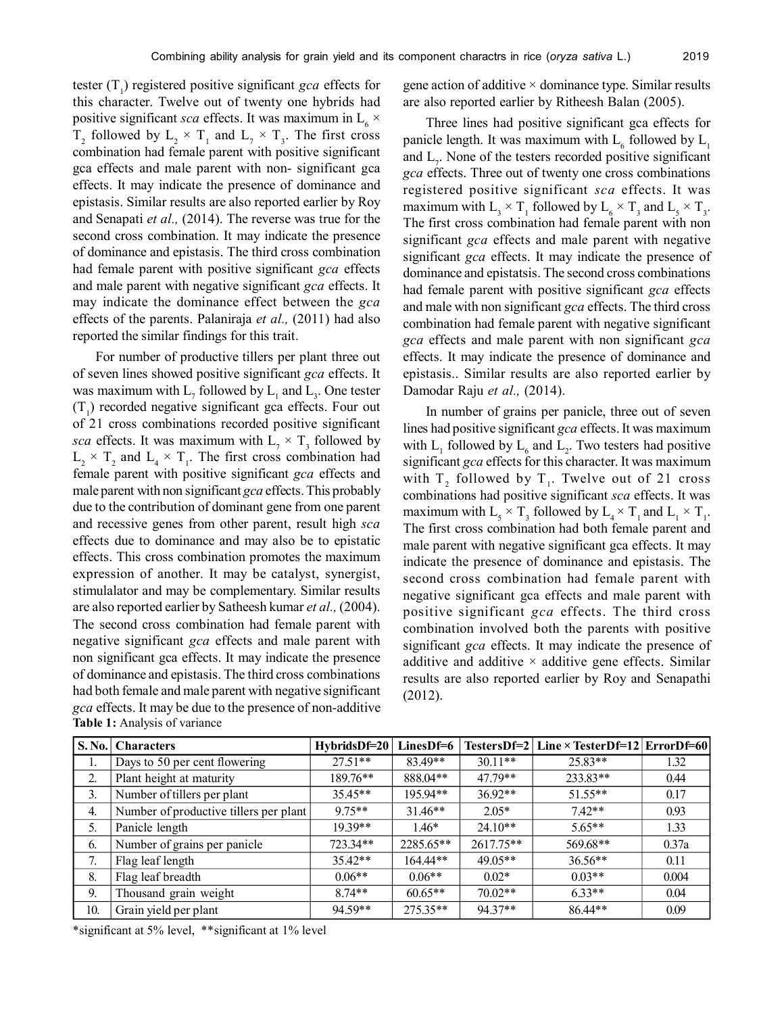tester  $(T_1)$  registered positive significant *gca* effects for this character. Twelve out of twenty one hybrids had positive significant *sca* effects. It was maximum in  $L_6 \times$  $T_2$  followed by  $L_2 \times T_1$  and  $L_7 \times T_3$ . The first cross combination had female parent with positive significant gca effects and male parent with non- significant gca effects. It may indicate the presence of dominance and epistasis. Similar results are also reported earlier by Roy and Senapati *et al.,* (2014). The reverse was true for the second cross combination. It may indicate the presence of dominance and epistasis. The third cross combination had female parent with positive significant *gca* effects and male parent with negative significant *gca* effects. It may indicate the dominance effect between the *gca* effects of the parents. Palaniraja *et al.,* (2011) had also reported the similar findings for this trait.

For number of productive tillers per plant three out of seven lines showed positive significant *gca* effects. It was maximum with  $L_7$  followed by  $L_1$  and  $L_3$ . One tester  $(T_1)$  recorded negative significant gca effects. Four out of 21 cross combinations recorded positive significant *sca* effects. It was maximum with  $L_7 \times T_3$  followed by  $L_2 \times T_2$  and  $L_4 \times T_1$ . The first cross combination had female parent with positive significant *gca* effects and male parent with non significant *gca* effects. This probably due to the contribution of dominant gene from one parent and recessive genes from other parent, result high *sca* effects due to dominance and may also be to epistatic effects. This cross combination promotes the maximum expression of another. It may be catalyst, synergist, stimulalator and may be complementary. Similar results are also reported earlier by Satheesh kumar *et al.,* (2004). The second cross combination had female parent with negative significant *gca* effects and male parent with non significant gca effects. It may indicate the presence of dominance and epistasis. The third cross combinations had both female and male parent with negative significant *gca* effects. It may be due to the presence of non-additive **Table 1:** Analysis of variance

gene action of additive  $\times$  dominance type. Similar results are also reported earlier by Ritheesh Balan (2005).

Three lines had positive significant gca effects for panicle length. It was maximum with  $L_6$  followed by  $L_1$ and  $L_7$ . None of the testers recorded positive significant *gca* effects. Three out of twenty one cross combinations registered positive significant *sca* effects. It was maximum with  $L_3 \times T_1$  followed by  $L_6 \times T_3$  and  $L_5 \times T_3$ . The first cross combination had female parent with non significant *gca* effects and male parent with negative significant *gca* effects. It may indicate the presence of dominance and epistatsis. The second cross combinations had female parent with positive significant *gca* effects and male with non significant *gca* effects. The third cross combination had female parent with negative significant *gca* effects and male parent with non significant *gca* effects. It may indicate the presence of dominance and epistasis.. Similar results are also reported earlier by Damodar Raju *et al.,* (2014).

In number of grains per panicle, three out of seven lines had positive significant *gca* effects. It was maximum with  $L_1$  followed by  $L_6$  and  $L_2$ . Two testers had positive significant *gca* effects for this character. It was maximum with  $T_2$  followed by  $T_1$ . Twelve out of 21 cross combinations had positive significant *sca* effects. It was maximum with  $L_s \times T_3$  followed by  $L_4 \times T_1$  and  $L_1 \times T_1$ . The first cross combination had both female parent and male parent with negative significant gca effects. It may indicate the presence of dominance and epistasis. The second cross combination had female parent with negative significant gca effects and male parent with positive significant *gca* effects. The third cross combination involved both the parents with positive significant *gca* effects. It may indicate the presence of additive and additive  $\times$  additive gene effects. Similar results are also reported earlier by Roy and Senapathi (2012).

| $S.$ No. | <b>Characters</b>                      | HybridsDf=20 | $LinesDf=6$ |           | TestersDf=2   Line × TesterDf=12   ErrorDf=60 |       |
|----------|----------------------------------------|--------------|-------------|-----------|-----------------------------------------------|-------|
| ı.       | Days to 50 per cent flowering          | $27.51**$    | 83.49**     | $30.11**$ | $25.83**$                                     | 1.32  |
| 2.       | Plant height at maturity               | 189.76**     | 888.04**    | 47.79**   | 233.83**                                      | 0.44  |
| 3.       | Number of tillers per plant            | $35.45**$    | 195.94**    | $36.92**$ | $51.55**$                                     | 0.17  |
| 4.       | Number of productive tillers per plant | $9.75**$     | $31.46**$   | $2.05*$   | $7.42**$                                      | 0.93  |
| 5.       | Panicle length                         | $19.39**$    | $1.46*$     | $24.10**$ | $5.65**$                                      | 1.33  |
| 6.       | Number of grains per panicle           | 723.34**     | 2285.65**   | 2617.75** | 569.68**                                      | 0.37a |
| 7.       | Flag leaf length                       | $35.42**$    | $164.44**$  | $49.05**$ | $36.56**$                                     | 0.11  |
| 8.       | Flag leaf breadth                      | $0.06**$     | $0.06**$    | $0.02*$   | $0.03**$                                      | 0.004 |
| 9.       | Thousand grain weight                  | $8.74**$     | $60.65**$   | $70.02**$ | $6.33**$                                      | 0.04  |
| 10.      | Grain yield per plant                  | 94.59**      | $275.35**$  | 94.37**   | $86.44**$                                     | 0.09  |

\*significant at 5% level, \*\*significant at 1% level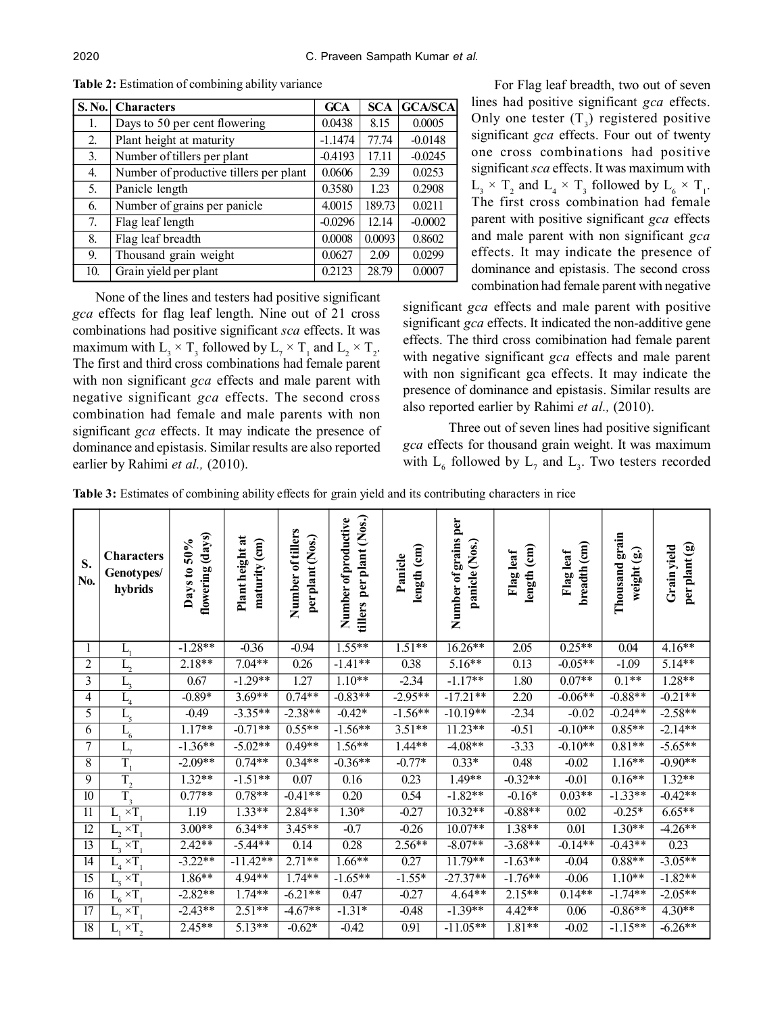| <b>S. No.</b> | <b>Characters</b>                      | <b>GCA</b> | <b>SCA</b> | <b>GCA/SCA</b> |
|---------------|----------------------------------------|------------|------------|----------------|
| 1.            | Days to 50 per cent flowering          | 0.0438     | 8.15       | 0.0005         |
| 2.            | Plant height at maturity               | $-1.1474$  | 77.74      | $-0.0148$      |
| 3.            | Number of tillers per plant            | $-0.4193$  | 17.11      | $-0.0245$      |
| 4.            | Number of productive tillers per plant | 0.0606     | 2.39       | 0.0253         |
| 5.            | Panicle length                         | 0.3580     | 1.23       | 0.2908         |
| 6.            | Number of grains per panicle           | 4.0015     | 189.73     | 0.0211         |
| 7.            | Flag leaf length                       | $-0.0296$  | 12.14      | $-0.0002$      |
| 8.            | Flag leaf breadth                      | 0.0008     | 0.0093     | 0.8602         |
| 9.            | Thousand grain weight                  | 0.0627     | 2.09       | 0.0299         |
| 10.           | Grain yield per plant                  | 0.2123     | 28.79      | 0.0007         |

**Table 2:** Estimation of combining ability variance

None of the lines and testers had positive significant *gca* effects for flag leaf length. Nine out of 21 cross combinations had positive significant *sca* effects. It was maximum with  $L_3 \times T_3$  followed by  $L_7 \times T_1$  and  $L_2 \times T_2$ . The first and third cross combinations had female parent with non significant *gca* effects and male parent with negative significant *gca* effects. The second cross combination had female and male parents with non significant *gca* effects. It may indicate the presence of dominance and epistasis. Similar results are also reported earlier by Rahimi *et al.,* (2010).

For Flag leaf breadth, two out of seven lines had positive significant *gca* effects. Only one tester  $(T_3)$  registered positive significant *gca* effects. Four out of twenty one cross combinations had positive significant *sca* effects. It was maximum with  $L_3 \times T_2$  and  $L_4 \times T_3$  followed by  $L_6 \times T_1$ . The first cross combination had female parent with positive significant *gca* effects and male parent with non significant *gca* effects. It may indicate the presence of dominance and epistasis. The second cross combination had female parent with negative

significant *gca* effects and male parent with positive significant *gca* effects. It indicated the non-additive gene effects. The third cross comibination had female parent with negative significant *gca* effects and male parent with non significant gca effects. It may indicate the presence of dominance and epistasis. Similar results are also reported earlier by Rahimi *et al.,* (2010).

Three out of seven lines had positive significant *gca* effects for thousand grain weight. It was maximum with  $L_6$  followed by  $L_7$  and  $L_3$ . Two testers recorded

|  | Table 3: Estimates of combining ability effects for grain yield and its contributing characters in rice |  |  |  |  |
|--|---------------------------------------------------------------------------------------------------------|--|--|--|--|
|  |                                                                                                         |  |  |  |  |

| S.<br>No.       | <b>Characters</b><br>Genotypes/<br>hybrids | flowering (days)<br>50%<br>Days to | Plant height at<br>maturity (cm) | Number of tillers<br>perplant (Nos.) | per plant (Nos.)<br>Number of productive<br>tillers | length (cm)<br>Panicle | per<br>Number of grains<br>panicle (Nos.) | length (cm)<br>Flag leaf | breadth (cm)<br>Flag leaf | Thousand grain<br>weight (g. | per plant (g)<br>Grain yield |
|-----------------|--------------------------------------------|------------------------------------|----------------------------------|--------------------------------------|-----------------------------------------------------|------------------------|-------------------------------------------|--------------------------|---------------------------|------------------------------|------------------------------|
|                 | $L_{1}$                                    | $-1.28**$                          | $-0.36$                          | $-0.94$                              | $1.55**$                                            | $1.51**$               | $16.26**$                                 | 2.05                     | $0.25**$                  | 0.04                         | $4.16**$                     |
| $\overline{2}$  | $L_{2}$                                    | $2.18**$                           | $7.04**$                         | 0.26                                 | $-1.41**$                                           | 0.38                   | $5.16**$                                  | 0.13                     | $-0.05**$                 | $-1.09$                      | $5.14**$                     |
| $\overline{3}$  | $\overline{L_3}$                           | 0.67                               | $-1.29**$                        | 1.27                                 | $1.10**$                                            | $-2.34$                | $-1.17**$                                 | 1.80                     | $0.07**$                  | $0.1**$                      | 1.28**                       |
| 4               | $\overline{L}_4$                           | $-0.89*$                           | $3.69**$                         | $0.74**$                             | $-0.83**$                                           | $-2.95**$              | $-17.21**$                                | 2.20                     | $-0.06**$                 | $-0.88**$                    | $-0.21**$                    |
| 5               | $L_{\rm 5}$                                | $-0.49$                            | $-3.35**$                        | $-2.38**$                            | $-0.42*$                                            | $-1.56**$              | $-10.19**$                                | $-2.34$                  | $-0.02$                   | $-0.24**$                    | $-2.58**$                    |
| 6               | $L_{6}$                                    | $1.17**$                           | $-0.71**$                        | $0.55**$                             | $-1.56**$                                           | $3.51**$               | $11.23**$                                 | $-0.51$                  | $-0.10**$                 | $0.85**$                     | $-2.14**$                    |
| 7               | $L_{7}$                                    | $-1.36**$                          | $-5.02**$                        | $0.49**$                             | $1.56**$                                            | $1.44**$               | $-4.08**$                                 | $-3.33$                  | $-0.10**$                 | $0.81**$                     | $-5.65**$                    |
| $\overline{8}$  | $\overline{T}_1$                           | $-2.09**$                          | $0.74**$                         | $0.34**$                             | $-0.36**$                                           | $-0.77*$               | $0.33*$                                   | 0.48                     | $-0.02$                   | $1.16**$                     | $-0.90**$                    |
| 9               | $\overline{T}_{2}$                         | $1.32**$                           | $-1.51**$                        | 0.07                                 | 0.16                                                | 0.23                   | $1.49**$                                  | $-0.32**$                | $-0.01$                   | $0.16**$                     | $1.32**$                     |
| $\overline{10}$ | $\overline{T}_3$                           | $0.77**$                           | $0.78**$                         | $-0.41**$                            | 0.20                                                | 0.54                   | $-1.82**$                                 | $-0.16*$                 | $0.03**$                  | $-1.33**$                    | $-0.42**$                    |
| $\overline{11}$ | $\times T$<br>$L_{1}$                      | 1.19                               | $1.33**$                         | $2.84**$                             | $1.30*$                                             | $-0.27$                | $10.32**$                                 | $-0.88**$                | 0.02                      | $-0.25*$                     | $6.65**$                     |
| $\overline{12}$ | $L_2 \times T$                             | $3.00**$                           | $6.34**$                         | $3.45**$                             | $-0.7$                                              | $-0.26$                | $10.07**$                                 | $1.38**$                 | 0.01                      | $1.30**$                     | $-4.26**$                    |
| 13              | $L_3 \times \overline{T}_1$                | $2.42**$                           | $-5.44**$                        | 0.14                                 | 0.28                                                | $2.56**$               | $-8.07**$                                 | $-3.68**$                | $-0.14**$                 | $-0.43**$                    | 0.23                         |
| 14              | $L_4 \times T_1$                           | $-3.22**$                          | $-11.42**$                       | $2.71**$                             | $1.66**$                                            | 0.27                   | $11.79**$                                 | $-1.63**$                | $-0.04$                   | $0.88**$                     | $-3.05**$                    |
| $\overline{15}$ | $L_5 \times T_1$                           | $1.86**$                           | $4.94**$                         | $1.74**$                             | $-1.65**$                                           | $-1.55*$               | $-27.37**$                                | $-1.76**$                | $-0.06$                   | $1.10**$                     | $-1.82**$                    |
| $\overline{16}$ | $\times T$<br>$L_{\rm 6}$                  | $-2.82**$                          | $1.74**$                         | $-6.21**$                            | 0.47                                                | $-0.27$                | $4.64**$                                  | $2.15***$                | $0.14**$                  | $-1.74**$                    | $-2.05**$                    |
| 17              | $\times T$                                 | $-2.43**$                          | $2.51**$                         | $-4.67**$                            | $-1.31*$                                            | $-0.48$                | $-1.39**$                                 | $4.42**$                 | 0.06                      | $-0.86**$                    | $4.30**$                     |
| 18              | $\times T_{2}$<br>L,                       | $2.45**$                           | $5.13**$                         | $-0.62*$                             | $-0.42$                                             | 0.91                   | $-11.05**$                                | $1.81**$                 | $-0.02$                   | $-1.15**$                    | $-6.26**$                    |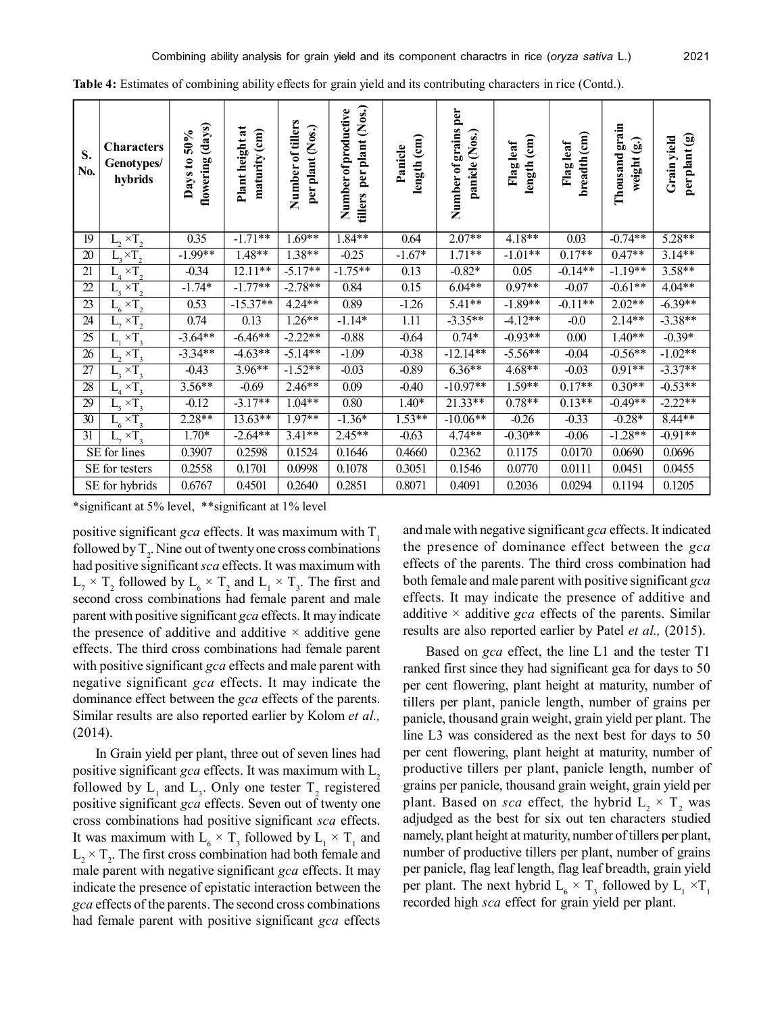| <b>Characters</b><br>S.<br>Genotypes/<br>No.<br>hybrids   | flowering (days)<br>50%<br>Days to | Plant height at<br>maturity (cm) | Number of tillers<br>per plant (Nos.) | per plant (Nos.)<br>Number of productive<br>tillers | length (cm)<br>Panicle | Number of grains per<br>panicle (Nos.) | $\overline{\text{cm}}$<br>Flag leaf<br>length | breadth (cm)<br>Flag leaf | Thousand grain<br>weight (g.) | per plant (g)<br>Grain yield |
|-----------------------------------------------------------|------------------------------------|----------------------------------|---------------------------------------|-----------------------------------------------------|------------------------|----------------------------------------|-----------------------------------------------|---------------------------|-------------------------------|------------------------------|
| 19<br>$L_2 \times T_2$                                    | 0.35                               | $-1.71**$                        | $1.69**$                              | $1.84**$                                            | 0.64                   | $2.07**$                               | $4.18**$                                      | 0.03                      | $-0.74**$                     | $5.28**$                     |
| $L_{3}\times T_{2}$<br>20                                 | $-1.99**$                          | 1.48**                           | $1.38**$                              | $-0.25$                                             | $-1.67*$               | $1.71**$                               | $-1.01**$                                     | $0.17**$                  | $0.47**$                      | $3.14**$                     |
| 21<br>$L_4 \times \overline{T}_2$                         | $-0.34$                            | $12.11**$                        | $-5.17**$                             | $-1.75**$                                           | 0.13                   | $-0.82*$                               | 0.05                                          | $-0.14**$                 | $-1.19**$                     | $3.58**$                     |
| $L_{5} \times T_{2}$<br>22                                | $-1.74*$                           | $-1.77**$                        | $-2.78**$                             | 0.84                                                | 0.15                   | $6.04**$                               | $0.97**$                                      | $-0.07$                   | $-0.61**$                     | 4.04**                       |
| $\overline{L_6 \times T_2}$<br>23                         | 0.53                               | $-15.37**$                       | $4.24**$                              | 0.89                                                | $-1.26$                | $5.41**$                               | $-1.89**$                                     | $-0.11**$                 | $2.02**$                      | $-6.39**$                    |
| $\overline{L_7 \times T_2}$<br>24                         | 0.74                               | 0.13                             | $1.26**$                              | $-1.14*$                                            | 1.11                   | $-3.35**$                              | $-4.12**$                                     | $-0.0$                    | $2.14**$                      | $-3.38**$                    |
| $L_1 \times T_3$<br>25                                    | $-3.64**$                          | $-6.46**$                        | $-2.22**$                             | $-0.88$                                             | $-0.64$                | $0.74*$                                | $-0.93**$                                     | 0.00                      | $1.40**$                      | $-0.39*$                     |
| $L_2 \times T_3$<br>26                                    | $-3.34**$                          | $-4.63**$                        | $-5.14**$                             | $-1.09$                                             | $-0.38$                | $-12.14**$                             | $-5.56**$                                     | $-0.04$                   | $-0.56**$                     | $-1.02**$                    |
| $L_3 \times T_3$<br>27                                    | $-0.43$                            | $3.96**$                         | $-1.52**$                             | $-0.03$                                             | $-0.89$                | $6.36**$                               | $4.68**$                                      | $-0.03$                   | $0.91**$                      | $-3.37**$                    |
| $\overline{L_4 \times T_3}$<br>28                         | $3.56**$                           | $-0.69$                          | $2.46**$                              | 0.09                                                | $-0.40$                | $-10.97**$                             | $1.59**$                                      | $0.17**$                  | $0.30**$                      | $-0.53**$                    |
| $L_{5} \times T_{3}$<br>$\overline{29}$                   | $-0.12$                            | $-3.17**$                        | $1.04**$                              | $\overline{0.80}$                                   | $1.40*$                | $21.33**$                              | $0.78**$                                      | $0.13**$                  | $-0.49**$                     | $-2.22**$                    |
| $\times T$ <sub>3</sub><br>$\overline{30}$<br>$L_{\rm 6}$ | $2.28**$                           | $13.63**$                        | $1.97**$                              | $-1.36*$                                            | $1.53**$               | $-10.06**$                             | $-0.26$                                       | $-0.33$                   | $-0.28*$                      | $8.44**$                     |
| $\times T$<br>$\overline{31}$                             | $1.70*$                            | $-2.64**$                        | $3.41**$                              | $2.45**$                                            | $-0.63$                | $4.74**$                               | $-0.30**$                                     | $-0.06$                   | $-1.28**$                     | $-0.91**$                    |
| SE for lines                                              | 0.3907                             | 0.2598                           | 0.1524                                | 0.1646                                              | 0.4660                 | 0.2362                                 | 0.1175                                        | 0.0170                    | 0.0690                        | 0.0696                       |
| SE for testers                                            | 0.2558                             | 0.1701                           | 0.0998                                | 0.1078                                              | 0.3051                 | 0.1546                                 | 0.0770                                        | 0.0111                    | 0.0451                        | 0.0455                       |
| SE for hybrids                                            | 0.6767                             | 0.4501                           | 0.2640                                | 0.2851                                              | 0.8071                 | 0.4091                                 | 0.2036                                        | 0.0294                    | 0.1194                        | 0.1205                       |

**Table 4:** Estimates of combining ability effects for grain yield and its contributing characters in rice (Contd.).

\*significant at 5% level, \*\*significant at 1% level

positive significant *gca* effects. It was maximum with  $T<sub>1</sub>$ followed by  $T_2$ . Nine out of twenty one cross combinations had positive significant *sca* effects. It was maximum with  $L_7 \times T_2$  followed by  $L_6 \times T_2$  and  $L_1 \times T_3$ . The first and second cross combinations had female parent and male parent with positive significant *gca* effects. It may indicate the presence of additive and additive  $\times$  additive gene effects. The third cross combinations had female parent with positive significant *gca* effects and male parent with negative significant *gca* effects. It may indicate the dominance effect between the *gca* effects of the parents. Similar results are also reported earlier by Kolom *et al.,* (2014).

In Grain yield per plant, three out of seven lines had positive significant *gca* effects. It was maximum with L<sub>2</sub> followed by  $L_1$  and  $L_3$ . Only one tester  $T_2$  registered positive significant *gca* effects. Seven out of twenty one cross combinations had positive significant *sca* effects. It was maximum with  $L_6 \times T_3$  followed by  $L_1 \times T_1$  and  $L_2 \times T_2$ . The first cross combination had both female and male parent with negative significant *gca* effects. It may indicate the presence of epistatic interaction between the *gca* effects of the parents. The second cross combinations had female parent with positive significant *gca* effects and male with negative significant *gca* effects. It indicated the presence of dominance effect between the *gca* effects of the parents. The third cross combination had both female and male parent with positive significant *gca* effects. It may indicate the presence of additive and additive  $\times$  additive *gca* effects of the parents. Similar results are also reported earlier by Patel *et al.,* (2015).

Based on *gca* effect, the line L1 and the tester T1 ranked first since they had significant gca for days to 50 per cent flowering, plant height at maturity, number of tillers per plant, panicle length, number of grains per panicle, thousand grain weight, grain yield per plant. The line L3 was considered as the next best for days to 50 per cent flowering, plant height at maturity, number of productive tillers per plant, panicle length, number of grains per panicle, thousand grain weight, grain yield per plant. Based on *sca* effect, the hybrid  $L_2 \times T_2$  was adjudged as the best for six out ten characters studied namely, plant height at maturity, number of tillers per plant, number of productive tillers per plant, number of grains per panicle, flag leaf length, flag leaf breadth, grain yield per plant. The next hybrid  $L_6 \times T_3$  followed by  $L_1 \times T_1$ recorded high *sca* effect for grain yield per plant.